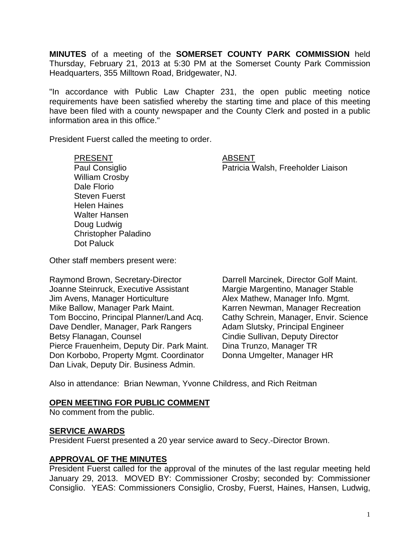**MINUTES** of a meeting of the **SOMERSET COUNTY PARK COMMISSION** held Thursday, February 21, 2013 at 5:30 PM at the Somerset County Park Commission Headquarters, 355 Milltown Road, Bridgewater, NJ.

"In accordance with Public Law Chapter 231, the open public meeting notice requirements have been satisfied whereby the starting time and place of this meeting have been filed with a county newspaper and the County Clerk and posted in a public information area in this office."

President Fuerst called the meeting to order.

PRESENT ABSENT

Paul Consiglio **Patricia Walsh, Freeholder Liaison** 

William Crosby Dale Florio Steven Fuerst Helen Haines Walter Hansen Doug Ludwig Christopher Paladino Dot Paluck

Other staff members present were:

Raymond Brown, Secretary-Director Darrell Marcinek, Director Golf Maint. Joanne Steinruck, Executive Assistant Margie Margentino, Manager Stable Jim Avens, Manager Horticulture **Alex Mathew, Manager Info. Mgmt.** Mike Ballow, Manager Park Maint. Karren Newman, Manager Recreation Tom Boccino, Principal Planner/Land Acq. Cathy Schrein, Manager, Envir. Science Dave Dendler, Manager, Park Rangers Adam Slutsky, Principal Engineer Betsy Flanagan, Counsel **Counsel Cindie Sullivan, Deputy Director** Pierce Frauenheim, Deputy Dir. Park Maint. Dina Trunzo, Manager TR Don Korbobo, Property Mgmt. Coordinator Donna Umgelter, Manager HR Dan Livak, Deputy Dir. Business Admin.

Also in attendance: Brian Newman, Yvonne Childress, and Rich Reitman

#### **OPEN MEETING FOR PUBLIC COMMENT**

No comment from the public.

## **SERVICE AWARDS**

President Fuerst presented a 20 year service award to Secy.-Director Brown.

## **APPROVAL OF THE MINUTES**

President Fuerst called for the approval of the minutes of the last regular meeting held January 29, 2013. MOVED BY: Commissioner Crosby; seconded by: Commissioner Consiglio. YEAS: Commissioners Consiglio, Crosby, Fuerst, Haines, Hansen, Ludwig,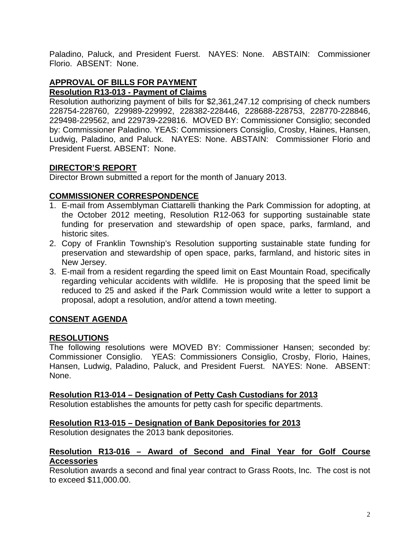Paladino, Paluck, and President Fuerst. NAYES: None. ABSTAIN: Commissioner Florio. ABSENT: None.

#### **APPROVAL OF BILLS FOR PAYMENT Resolution R13-013 - Payment of Claims**

Resolution authorizing payment of bills for \$2,361,247.12 comprising of check numbers 228754-228760, 229989-229992, 228382-228446, 228688-228753, 228770-228846, 229498-229562, and 229739-229816. MOVED BY: Commissioner Consiglio; seconded by: Commissioner Paladino. YEAS: Commissioners Consiglio, Crosby, Haines, Hansen, Ludwig, Paladino, and Paluck. NAYES: None. ABSTAIN: Commissioner Florio and President Fuerst. ABSENT: None.

# **DIRECTOR'S REPORT**

Director Brown submitted a report for the month of January 2013.

## **COMMISSIONER CORRESPONDENCE**

- 1. E-mail from Assemblyman Ciattarelli thanking the Park Commission for adopting, at the October 2012 meeting, Resolution R12-063 for supporting sustainable state funding for preservation and stewardship of open space, parks, farmland, and historic sites.
- 2. Copy of Franklin Township's Resolution supporting sustainable state funding for preservation and stewardship of open space, parks, farmland, and historic sites in New Jersey.
- 3. E-mail from a resident regarding the speed limit on East Mountain Road, specifically regarding vehicular accidents with wildlife. He is proposing that the speed limit be reduced to 25 and asked if the Park Commission would write a letter to support a proposal, adopt a resolution, and/or attend a town meeting.

# **CONSENT AGENDA**

## **RESOLUTIONS**

The following resolutions were MOVED BY: Commissioner Hansen; seconded by: Commissioner Consiglio. YEAS: Commissioners Consiglio, Crosby, Florio, Haines, Hansen, Ludwig, Paladino, Paluck, and President Fuerst. NAYES: None. ABSENT: None.

## **Resolution R13-014 – Designation of Petty Cash Custodians for 2013**

Resolution establishes the amounts for petty cash for specific departments.

## **Resolution R13-015 – Designation of Bank Depositories for 2013**

Resolution designates the 2013 bank depositories.

## **Resolution R13-016 – Award of Second and Final Year for Golf Course Accessories**

Resolution awards a second and final year contract to Grass Roots, Inc. The cost is not to exceed \$11,000.00.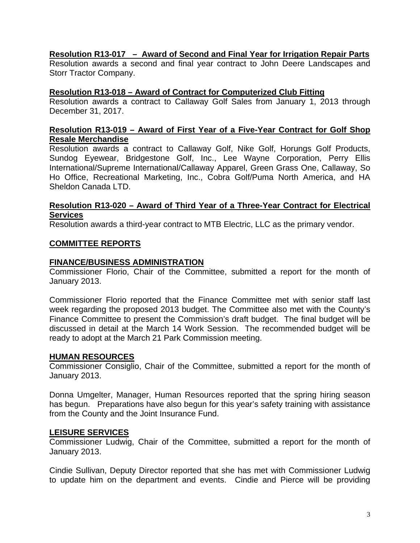## **Resolution R13-017 – Award of Second and Final Year for Irrigation Repair Parts**

Resolution awards a second and final year contract to John Deere Landscapes and Storr Tractor Company.

#### **Resolution R13-018 – Award of Contract for Computerized Club Fitting**

Resolution awards a contract to Callaway Golf Sales from January 1, 2013 through December 31, 2017.

### **Resolution R13-019 – Award of First Year of a Five-Year Contract for Golf Shop Resale Merchandise**

Resolution awards a contract to Callaway Golf, Nike Golf, Horungs Golf Products, Sundog Eyewear, Bridgestone Golf, Inc., Lee Wayne Corporation, Perry Ellis International/Supreme International/Callaway Apparel, Green Grass One, Callaway, So Ho Office, Recreational Marketing, Inc., Cobra Golf/Puma North America, and HA Sheldon Canada LTD.

### **Resolution R13-020 – Award of Third Year of a Three-Year Contract for Electrical Services**

Resolution awards a third-year contract to MTB Electric, LLC as the primary vendor.

## **COMMITTEE REPORTS**

#### **FINANCE/BUSINESS ADMINISTRATION**

Commissioner Florio, Chair of the Committee, submitted a report for the month of January 2013.

Commissioner Florio reported that the Finance Committee met with senior staff last week regarding the proposed 2013 budget. The Committee also met with the County's Finance Committee to present the Commission's draft budget. The final budget will be discussed in detail at the March 14 Work Session. The recommended budget will be ready to adopt at the March 21 Park Commission meeting.

## **HUMAN RESOURCES**

Commissioner Consiglio, Chair of the Committee, submitted a report for the month of January 2013.

Donna Umgelter, Manager, Human Resources reported that the spring hiring season has begun. Preparations have also begun for this year's safety training with assistance from the County and the Joint Insurance Fund.

## **LEISURE SERVICES**

Commissioner Ludwig, Chair of the Committee, submitted a report for the month of January 2013.

Cindie Sullivan, Deputy Director reported that she has met with Commissioner Ludwig to update him on the department and events. Cindie and Pierce will be providing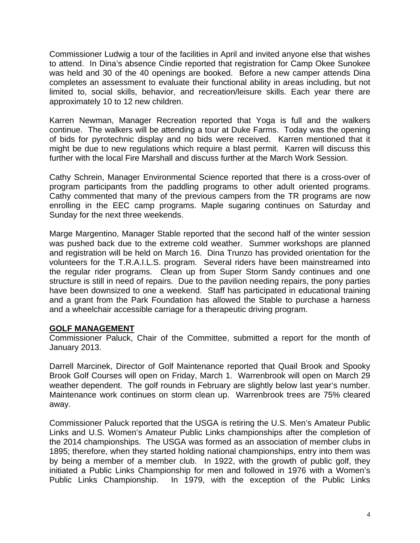Commissioner Ludwig a tour of the facilities in April and invited anyone else that wishes to attend. In Dina's absence Cindie reported that registration for Camp Okee Sunokee was held and 30 of the 40 openings are booked. Before a new camper attends Dina completes an assessment to evaluate their functional ability in areas including, but not limited to, social skills, behavior, and recreation/leisure skills. Each year there are approximately 10 to 12 new children.

Karren Newman, Manager Recreation reported that Yoga is full and the walkers continue. The walkers will be attending a tour at Duke Farms. Today was the opening of bids for pyrotechnic display and no bids were received. Karren mentioned that it might be due to new regulations which require a blast permit. Karren will discuss this further with the local Fire Marshall and discuss further at the March Work Session.

Cathy Schrein, Manager Environmental Science reported that there is a cross-over of program participants from the paddling programs to other adult oriented programs. Cathy commented that many of the previous campers from the TR programs are now enrolling in the EEC camp programs. Maple sugaring continues on Saturday and Sunday for the next three weekends.

Marge Margentino, Manager Stable reported that the second half of the winter session was pushed back due to the extreme cold weather. Summer workshops are planned and registration will be held on March 16. Dina Trunzo has provided orientation for the volunteers for the T.R.A.I.L.S. program. Several riders have been mainstreamed into the regular rider programs. Clean up from Super Storm Sandy continues and one structure is still in need of repairs. Due to the pavilion needing repairs, the pony parties have been downsized to one a weekend. Staff has participated in educational training and a grant from the Park Foundation has allowed the Stable to purchase a harness and a wheelchair accessible carriage for a therapeutic driving program.

## **GOLF MANAGEMENT**

Commissioner Paluck, Chair of the Committee, submitted a report for the month of January 2013.

Darrell Marcinek, Director of Golf Maintenance reported that Quail Brook and Spooky Brook Golf Courses will open on Friday, March 1. Warrenbrook will open on March 29 weather dependent. The golf rounds in February are slightly below last year's number. Maintenance work continues on storm clean up. Warrenbrook trees are 75% cleared away.

Commissioner Paluck reported that the USGA is retiring the U.S. Men's Amateur Public Links and U.S. Women's Amateur Public Links championships after the completion of the 2014 championships. The USGA was formed as an association of member clubs in 1895; therefore, when they started holding national championships, entry into them was by being a member of a member club. In 1922, with the growth of public golf, they initiated a Public Links Championship for men and followed in 1976 with a Women's Public Links Championship. In 1979, with the exception of the Public Links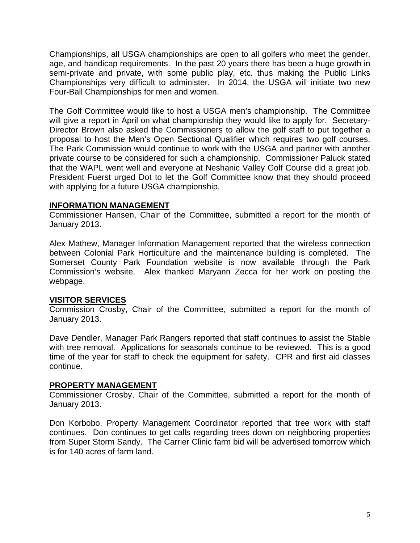Championships, all USGA championships are open to all golfers who meet the gender, age, and handicap requirements. In the past 20 years there has been a huge growth in semi-private and private, with some public play, etc. thus making the Public Links Championships very difficult to administer. In 2014, the USGA will initiate two new Four-Ball Championships for men and women.

The Golf Committee would like to host a USGA men's championship. The Committee will give a report in April on what championship they would like to apply for. Secretary-Director Brown also asked the Commissioners to allow the golf staff to put together a proposal to host the Men's Open Sectional Qualifier which requires two golf courses. The Park Commission would continue to work with the USGA and partner with another private course to be considered for such a championship. Commissioner Paluck stated that the WAPL went well and everyone at Neshanic Valley Golf Course did a great job. President Fuerst urged Dot to let the Golf Committee know that they should proceed with applying for a future USGA championship.

## **INFORMATION MANAGEMENT**

Commissioner Hansen, Chair of the Committee, submitted a report for the month of January 2013.

Alex Mathew, Manager Information Management reported that the wireless connection between Colonial Park Horticulture and the maintenance building is completed. The Somerset County Park Foundation website is now available through the Park Commission's website. Alex thanked Maryann Zecca for her work on posting the webpage.

## **VISITOR SERVICES**

Commission Crosby, Chair of the Committee, submitted a report for the month of January 2013.

Dave Dendler, Manager Park Rangers reported that staff continues to assist the Stable with tree removal. Applications for seasonals continue to be reviewed. This is a good time of the year for staff to check the equipment for safety. CPR and first aid classes continue.

## **PROPERTY MANAGEMENT**

Commissioner Crosby, Chair of the Committee, submitted a report for the month of January 2013.

Don Korbobo, Property Management Coordinator reported that tree work with staff continues. Don continues to get calls regarding trees down on neighboring properties from Super Storm Sandy. The Carrier Clinic farm bid will be advertised tomorrow which is for 140 acres of farm land.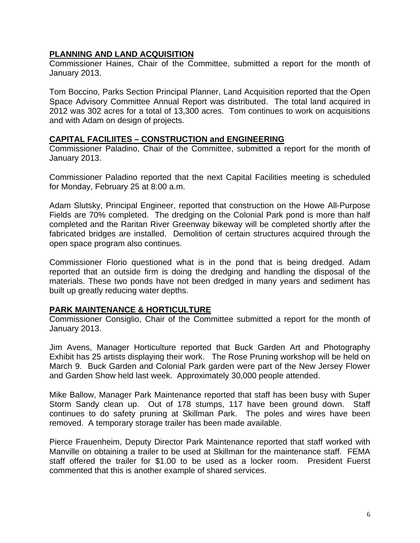## **PLANNING AND LAND ACQUISITION**

Commissioner Haines, Chair of the Committee, submitted a report for the month of January 2013.

Tom Boccino, Parks Section Principal Planner, Land Acquisition reported that the Open Space Advisory Committee Annual Report was distributed. The total land acquired in 2012 was 302 acres for a total of 13,300 acres. Tom continues to work on acquisitions and with Adam on design of projects.

#### **CAPITAL FACILIITES – CONSTRUCTION and ENGINEERING**

Commissioner Paladino, Chair of the Committee, submitted a report for the month of January 2013.

Commissioner Paladino reported that the next Capital Facilities meeting is scheduled for Monday, February 25 at 8:00 a.m.

Adam Slutsky, Principal Engineer, reported that construction on the Howe All-Purpose Fields are 70% completed. The dredging on the Colonial Park pond is more than half completed and the Raritan River Greenway bikeway will be completed shortly after the fabricated bridges are installed. Demolition of certain structures acquired through the open space program also continues.

Commissioner Florio questioned what is in the pond that is being dredged. Adam reported that an outside firm is doing the dredging and handling the disposal of the materials. These two ponds have not been dredged in many years and sediment has built up greatly reducing water depths.

#### **PARK MAINTENANCE & HORTICULTURE**

Commissioner Consiglio, Chair of the Committee submitted a report for the month of January 2013.

Jim Avens, Manager Horticulture reported that Buck Garden Art and Photography Exhibit has 25 artists displaying their work. The Rose Pruning workshop will be held on March 9. Buck Garden and Colonial Park garden were part of the New Jersey Flower and Garden Show held last week. Approximately 30,000 people attended.

Mike Ballow, Manager Park Maintenance reported that staff has been busy with Super Storm Sandy clean up. Out of 178 stumps, 117 have been ground down. Staff continues to do safety pruning at Skillman Park. The poles and wires have been removed. A temporary storage trailer has been made available.

Pierce Frauenheim, Deputy Director Park Maintenance reported that staff worked with Manville on obtaining a trailer to be used at Skillman for the maintenance staff. FEMA staff offered the trailer for \$1.00 to be used as a locker room. President Fuerst commented that this is another example of shared services.